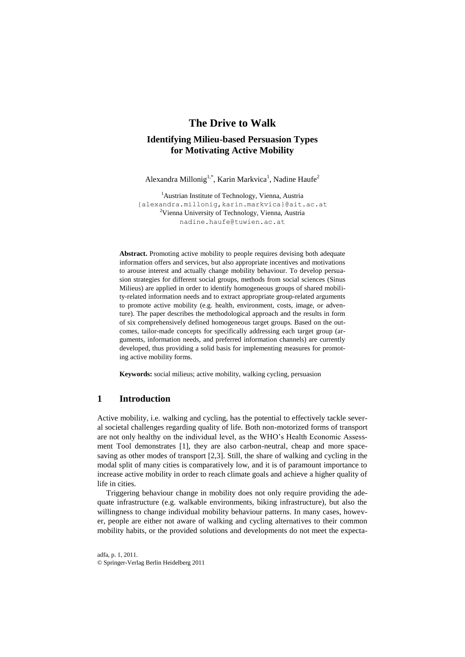# **The Drive to Walk**

# **Identifying Milieu-based Persuasion Types for Motivating Active Mobility**

Alexandra Millonig<sup>1,\*</sup>, Karin Markvica<sup>1</sup>, Nadine Haufe<sup>2</sup>

<sup>1</sup>Austrian Institute of Technology, Vienna, Austria {alexandra.millonig,karin.markvica}@ait.ac.at <sup>2</sup>Vienna University of Technology, Vienna, Austria nadine.haufe@tuwien.ac.at

**Abstract.** Promoting active mobility to people requires devising both adequate information offers and services, but also appropriate incentives and motivations to arouse interest and actually change mobility behaviour. To develop persuasion strategies for different social groups, methods from social sciences (Sinus Milieus) are applied in order to identify homogeneous groups of shared mobility-related information needs and to extract appropriate group-related arguments to promote active mobility (e.g. health, environment, costs, image, or adventure). The paper describes the methodological approach and the results in form of six comprehensively defined homogeneous target groups. Based on the outcomes, tailor-made concepts for specifically addressing each target group (arguments, information needs, and preferred information channels) are currently developed, thus providing a solid basis for implementing measures for promoting active mobility forms.

**Keywords:** social milieus; active mobility, walking cycling, persuasion

## **1 Introduction**

Active mobility, i.e. walking and cycling, has the potential to effectively tackle several societal challenges regarding quality of life. Both non-motorized forms of transport are not only healthy on the individual level, as the WHO's Health Economic Assessment Tool demonstrates [1], they are also carbon-neutral, cheap and more spacesaving as other modes of transport [2,3]. Still, the share of walking and cycling in the modal split of many cities is comparatively low, and it is of paramount importance to increase active mobility in order to reach climate goals and achieve a higher quality of life in cities.

Triggering behaviour change in mobility does not only require providing the adequate infrastructure (e.g. walkable environments, biking infrastructure), but also the willingness to change individual mobility behaviour patterns. In many cases, however, people are either not aware of walking and cycling alternatives to their common mobility habits, or the provided solutions and developments do not meet the expecta-

adfa, p. 1, 2011. © Springer-Verlag Berlin Heidelberg 2011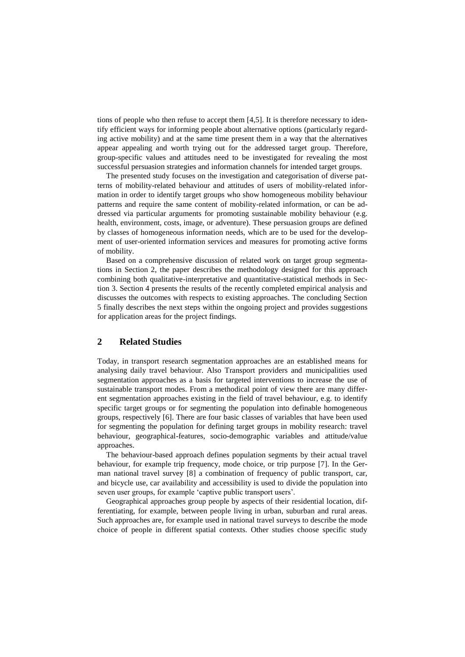tions of people who then refuse to accept them [4,5]. It is therefore necessary to identify efficient ways for informing people about alternative options (particularly regarding active mobility) and at the same time present them in a way that the alternatives appear appealing and worth trying out for the addressed target group. Therefore, group-specific values and attitudes need to be investigated for revealing the most successful persuasion strategies and information channels for intended target groups.

The presented study focuses on the investigation and categorisation of diverse patterns of mobility-related behaviour and attitudes of users of mobility-related information in order to identify target groups who show homogeneous mobility behaviour patterns and require the same content of mobility-related information, or can be addressed via particular arguments for promoting sustainable mobility behaviour (e.g. health, environment, costs, image, or adventure). These persuasion groups are defined by classes of homogeneous information needs, which are to be used for the development of user-oriented information services and measures for promoting active forms of mobility.

Based on a comprehensive discussion of related work on target group segmentations in Section 2, the paper describes the methodology designed for this approach combining both qualitative-interpretative and quantitative-statistical methods in Section 3. Section 4 presents the results of the recently completed empirical analysis and discusses the outcomes with respects to existing approaches. The concluding Section 5 finally describes the next steps within the ongoing project and provides suggestions for application areas for the project findings.

# **2 Related Studies**

Today, in transport research segmentation approaches are an established means for analysing daily travel behaviour. Also Transport providers and municipalities used segmentation approaches as a basis for targeted interventions to increase the use of sustainable transport modes. From a methodical point of view there are many different segmentation approaches existing in the field of travel behaviour, e.g. to identify specific target groups or for segmenting the population into definable homogeneous groups, respectively [6]. There are four basic classes of variables that have been used for segmenting the population for defining target groups in mobility research: travel behaviour, geographical-features, socio-demographic variables and attitude/value approaches.

The behaviour-based approach defines population segments by their actual travel behaviour, for example trip frequency, mode choice, or trip purpose [7]. In the German national travel survey [8] a combination of frequency of public transport, car, and bicycle use, car availability and accessibility is used to divide the population into seven user groups, for example 'captive public transport users'.

Geographical approaches group people by aspects of their residential location, differentiating, for example, between people living in urban, suburban and rural areas. Such approaches are, for example used in national travel surveys to describe the mode choice of people in different spatial contexts. Other studies choose specific study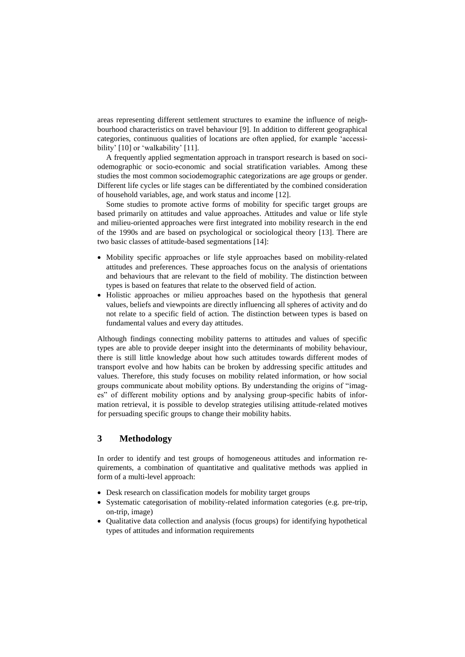areas representing different settlement structures to examine the influence of neighbourhood characteristics on travel behaviour [9]. In addition to different geographical categories, continuous qualities of locations are often applied, for example 'accessibility' [10] or 'walkability' [11].

A frequently applied segmentation approach in transport research is based on sociodemographic or socio-economic and social stratification variables. Among these studies the most common sociodemographic categorizations are age groups or gender. Different life cycles or life stages can be differentiated by the combined consideration of household variables, age, and work status and income [12].

Some studies to promote active forms of mobility for specific target groups are based primarily on attitudes and value approaches. Attitudes and value or life style and milieu-oriented approaches were first integrated into mobility research in the end of the 1990s and are based on psychological or sociological theory [13]. There are two basic classes of attitude-based segmentations [14]:

- Mobility specific approaches or life style approaches based on mobility-related attitudes and preferences. These approaches focus on the analysis of orientations and behaviours that are relevant to the field of mobility. The distinction between types is based on features that relate to the observed field of action.
- Holistic approaches or milieu approaches based on the hypothesis that general values, beliefs and viewpoints are directly influencing all spheres of activity and do not relate to a specific field of action. The distinction between types is based on fundamental values and every day attitudes.

Although findings connecting mobility patterns to attitudes and values of specific types are able to provide deeper insight into the determinants of mobility behaviour, there is still little knowledge about how such attitudes towards different modes of transport evolve and how habits can be broken by addressing specific attitudes and values. Therefore, this study focuses on mobility related information, or how social groups communicate about mobility options. By understanding the origins of "images" of different mobility options and by analysing group-specific habits of information retrieval, it is possible to develop strategies utilising attitude-related motives for persuading specific groups to change their mobility habits.

## **3 Methodology**

In order to identify and test groups of homogeneous attitudes and information requirements, a combination of quantitative and qualitative methods was applied in form of a multi-level approach:

- Desk research on classification models for mobility target groups
- Systematic categorisation of mobility-related information categories (e.g. pre-trip, on-trip, image)
- Qualitative data collection and analysis (focus groups) for identifying hypothetical types of attitudes and information requirements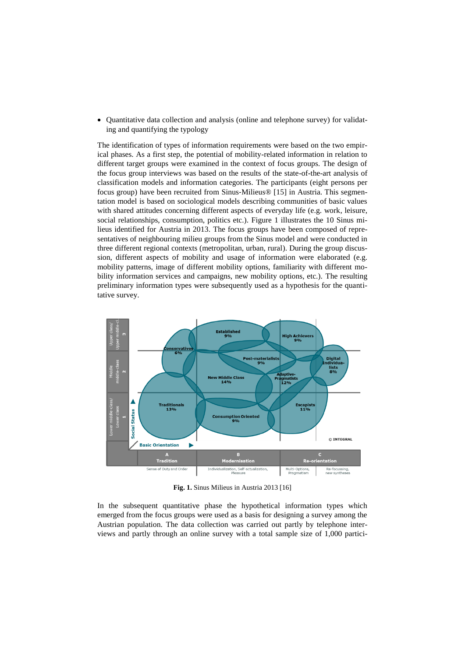Quantitative data collection and analysis (online and telephone survey) for validating and quantifying the typology

The identification of types of information requirements were based on the two empirical phases. As a first step, the potential of mobility-related information in relation to different target groups were examined in the context of focus groups. The design of the focus group interviews was based on the results of the state-of-the-art analysis of classification models and information categories. The participants (eight persons per focus group) have been recruited from Sinus-Milieus® [15] in Austria. This segmentation model is based on sociological models describing communities of basic values with shared attitudes concerning different aspects of everyday life (e.g. work, leisure, social relationships, consumption, politics etc.). Figure 1 illustrates the 10 Sinus milieus identified for Austria in 2013. The focus groups have been composed of representatives of neighbouring milieu groups from the Sinus model and were conducted in three different regional contexts (metropolitan, urban, rural). During the group discussion, different aspects of mobility and usage of information were elaborated (e.g. mobility patterns, image of different mobility options, familiarity with different mobility information services and campaigns, new mobility options, etc.). The resulting preliminary information types were subsequently used as a hypothesis for the quantitative survey.



**Fig. 1.** Sinus Milieus in Austria 2013 [16]

In the subsequent quantitative phase the hypothetical information types which emerged from the focus groups were used as a basis for designing a survey among the Austrian population. The data collection was carried out partly by telephone interviews and partly through an online survey with a total sample size of 1,000 partici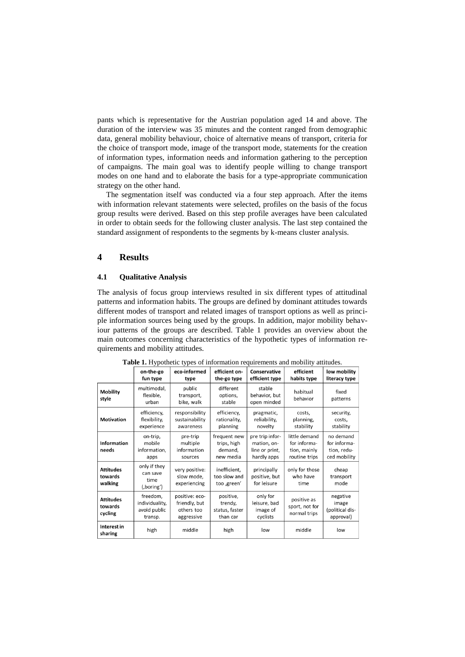pants which is representative for the Austrian population aged 14 and above. The duration of the interview was 35 minutes and the content ranged from demographic data, general mobility behaviour, choice of alternative means of transport, criteria for the choice of transport mode, image of the transport mode, statements for the creation of information types, information needs and information gathering to the perception of campaigns. The main goal was to identify people willing to change transport modes on one hand and to elaborate the basis for a type-appropriate communication strategy on the other hand.

The segmentation itself was conducted via a four step approach. After the items with information relevant statements were selected, profiles on the basis of the focus group results were derived. Based on this step profile averages have been calculated in order to obtain seeds for the following cluster analysis. The last step contained the standard assignment of respondents to the segments by k-means cluster analysis.

#### **4 Results**

#### **4.1 Qualitative Analysis**

The analysis of focus group interviews resulted in six different types of attitudinal patterns and information habits. The groups are defined by dominant attitudes towards different modes of transport and related images of transport options as well as principle information sources being used by the groups. In addition, major mobility behaviour patterns of the groups are described. Table 1 provides an overview about the main outcomes concerning characteristics of the hypothetic types of information requirements and mobility attitudes.

|                                        | on-the-go<br>fun type                                 | eco-informed<br>type                                        | efficient on-<br>the-go type                        | Conservative<br>efficient type                                  | efficient<br>habits type                                       | low mobility<br>literacy type                            |
|----------------------------------------|-------------------------------------------------------|-------------------------------------------------------------|-----------------------------------------------------|-----------------------------------------------------------------|----------------------------------------------------------------|----------------------------------------------------------|
| <b>Mobility</b><br>style               | multimodal,<br>flexible,<br>urban                     | public<br>transport,<br>bike, walk                          | different<br>options,<br>stable                     | stable<br>behavior, but<br>open minded                          | habitual<br>behavior                                           | fixed<br>patterns                                        |
| <b>Motivation</b>                      | efficiency,<br>flexibility,<br>experience             | responsibility<br>sustainability<br>awareness               | efficiency,<br>rationality,<br>planning             | pragmatic,<br>reliability,<br>novelty                           | costs,<br>planning,<br>stability                               | security,<br>costs.<br>stability                         |
| <b>Information</b><br>needs            | on-trip,<br>mobile<br>information,<br>apps            | pre-trip<br>multiple<br>information<br>sources              | frequent new<br>trips, high<br>demand,<br>new media | pre trip infor-<br>mation, on-<br>line or print,<br>hardly apps | little demand<br>for informa-<br>tion, mainly<br>routine trips | no demand<br>for informa-<br>tion, redu-<br>ced mobility |
| <b>Attitudes</b><br>towards<br>walking | only if they<br>can save<br>time<br>(,boring')        | very positive:<br>slow mode,<br>experiencing                | inefficient,<br>too slow and<br>too ,green'         | principally<br>positive, but<br>for leisure                     | only for those<br>who have<br>time                             | cheap<br>transport<br>mode                               |
| <b>Attitudes</b><br>towards<br>cycling | freedom,<br>individuality,<br>avoid public<br>transp. | positive: eco-<br>friendly, but<br>others too<br>aggressive | positive,<br>trendy,<br>status, faster<br>than car  | only for<br>leisure, bad<br>image of<br>cyclists                | positive as<br>sport, not for<br>normal trips                  | negative<br>image<br>(political dis-<br>approval)        |
| Interest in<br>sharing                 | high                                                  | middle                                                      | high                                                | low                                                             | middle                                                         | low                                                      |

**Table 1.** Hypothetic types of information requirements and mobility attitudes.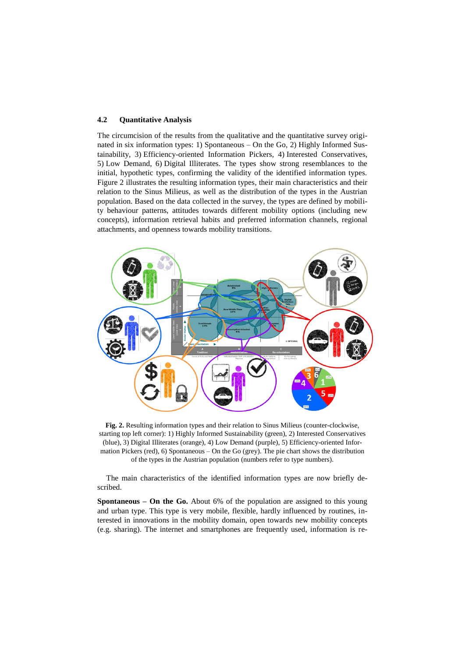#### **4.2 Quantitative Analysis**

The circumcision of the results from the qualitative and the quantitative survey originated in six information types: 1) Spontaneous – On the Go, 2) Highly Informed Sustainability, 3) Efficiency-oriented Information Pickers, 4) Interested Conservatives, 5) Low Demand, 6) Digital Illiterates. The types show strong resemblances to the initial, hypothetic types, confirming the validity of the identified information types. Figure 2 illustrates the resulting information types, their main characteristics and their relation to the Sinus Milieus, as well as the distribution of the types in the Austrian population. Based on the data collected in the survey, the types are defined by mobility behaviour patterns, attitudes towards different mobility options (including new concepts), information retrieval habits and preferred information channels, regional attachments, and openness towards mobility transitions.



**Fig. 2.** Resulting information types and their relation to Sinus Milieus (counter-clockwise, starting top left corner): 1) Highly Informed Sustainability (green), 2) Interested Conservatives (blue), 3) Digital Illiterates (orange), 4) Low Demand (purple), 5) Efficiency-oriented Information Pickers (red), 6) Spontaneous – On the Go (grey). The pie chart shows the distribution of the types in the Austrian population (numbers refer to type numbers).

The main characteristics of the identified information types are now briefly described.

**Spontaneous – On the Go.** About 6% of the population are assigned to this young and urban type. This type is very mobile, flexible, hardly influenced by routines, interested in innovations in the mobility domain, open towards new mobility concepts (e.g. sharing). The internet and smartphones are frequently used, information is re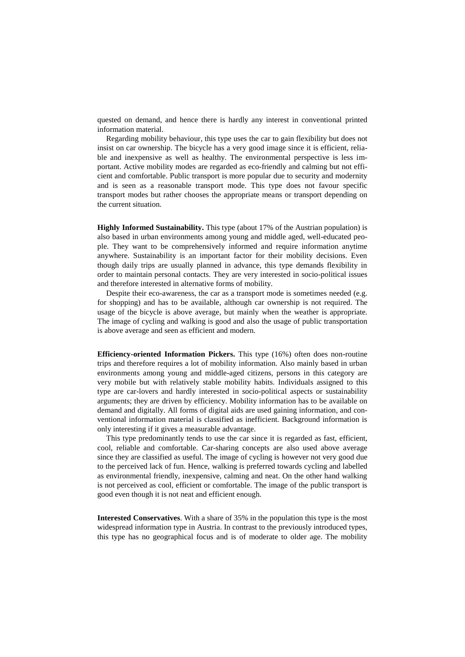quested on demand, and hence there is hardly any interest in conventional printed information material.

Regarding mobility behaviour, this type uses the car to gain flexibility but does not insist on car ownership. The bicycle has a very good image since it is efficient, reliable and inexpensive as well as healthy. The environmental perspective is less important. Active mobility modes are regarded as eco-friendly and calming but not efficient and comfortable. Public transport is more popular due to security and modernity and is seen as a reasonable transport mode. This type does not favour specific transport modes but rather chooses the appropriate means or transport depending on the current situation.

**Highly Informed Sustainability.** This type (about 17% of the Austrian population) is also based in urban environments among young and middle aged, well-educated people. They want to be comprehensively informed and require information anytime anywhere. Sustainability is an important factor for their mobility decisions. Even though daily trips are usually planned in advance, this type demands flexibility in order to maintain personal contacts. They are very interested in socio-political issues and therefore interested in alternative forms of mobility.

Despite their eco-awareness, the car as a transport mode is sometimes needed (e.g. for shopping) and has to be available, although car ownership is not required. The usage of the bicycle is above average, but mainly when the weather is appropriate. The image of cycling and walking is good and also the usage of public transportation is above average and seen as efficient and modern.

**Efficiency-oriented Information Pickers.** This type (16%) often does non-routine trips and therefore requires a lot of mobility information. Also mainly based in urban environments among young and middle-aged citizens, persons in this category are very mobile but with relatively stable mobility habits. Individuals assigned to this type are car-lovers and hardly interested in socio-political aspects or sustainability arguments; they are driven by efficiency. Mobility information has to be available on demand and digitally. All forms of digital aids are used gaining information, and conventional information material is classified as inefficient. Background information is only interesting if it gives a measurable advantage.

This type predominantly tends to use the car since it is regarded as fast, efficient, cool, reliable and comfortable. Car-sharing concepts are also used above average since they are classified as useful. The image of cycling is however not very good due to the perceived lack of fun. Hence, walking is preferred towards cycling and labelled as environmental friendly, inexpensive, calming and neat. On the other hand walking is not perceived as cool, efficient or comfortable. The image of the public transport is good even though it is not neat and efficient enough.

**Interested Conservatives**. With a share of 35% in the population this type is the most widespread information type in Austria. In contrast to the previously introduced types, this type has no geographical focus and is of moderate to older age. The mobility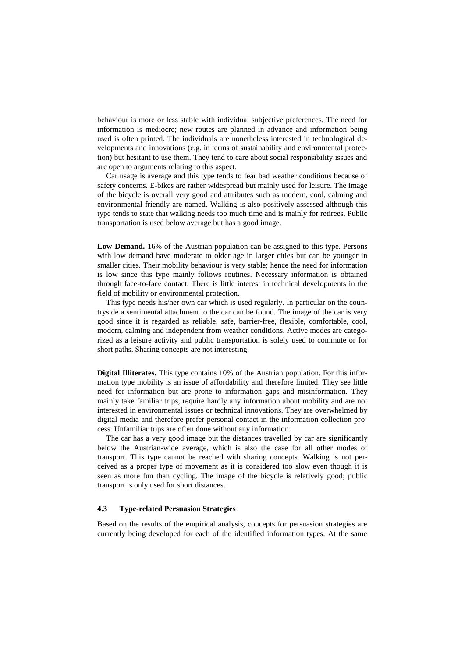behaviour is more or less stable with individual subjective preferences. The need for information is mediocre; new routes are planned in advance and information being used is often printed. The individuals are nonetheless interested in technological developments and innovations (e.g. in terms of sustainability and environmental protection) but hesitant to use them. They tend to care about social responsibility issues and are open to arguments relating to this aspect.

Car usage is average and this type tends to fear bad weather conditions because of safety concerns. E-bikes are rather widespread but mainly used for leisure. The image of the bicycle is overall very good and attributes such as modern, cool, calming and environmental friendly are named. Walking is also positively assessed although this type tends to state that walking needs too much time and is mainly for retirees. Public transportation is used below average but has a good image.

**Low Demand.** 16% of the Austrian population can be assigned to this type. Persons with low demand have moderate to older age in larger cities but can be younger in smaller cities. Their mobility behaviour is very stable; hence the need for information is low since this type mainly follows routines. Necessary information is obtained through face-to-face contact. There is little interest in technical developments in the field of mobility or environmental protection.

This type needs his/her own car which is used regularly. In particular on the countryside a sentimental attachment to the car can be found. The image of the car is very good since it is regarded as reliable, safe, barrier-free, flexible, comfortable, cool, modern, calming and independent from weather conditions. Active modes are categorized as a leisure activity and public transportation is solely used to commute or for short paths. Sharing concepts are not interesting.

**Digital Illiterates.** This type contains 10% of the Austrian population. For this information type mobility is an issue of affordability and therefore limited. They see little need for information but are prone to information gaps and misinformation. They mainly take familiar trips, require hardly any information about mobility and are not interested in environmental issues or technical innovations. They are overwhelmed by digital media and therefore prefer personal contact in the information collection process. Unfamiliar trips are often done without any information.

The car has a very good image but the distances travelled by car are significantly below the Austrian-wide average, which is also the case for all other modes of transport. This type cannot be reached with sharing concepts. Walking is not perceived as a proper type of movement as it is considered too slow even though it is seen as more fun than cycling. The image of the bicycle is relatively good; public transport is only used for short distances.

#### **4.3 Type-related Persuasion Strategies**

Based on the results of the empirical analysis, concepts for persuasion strategies are currently being developed for each of the identified information types. At the same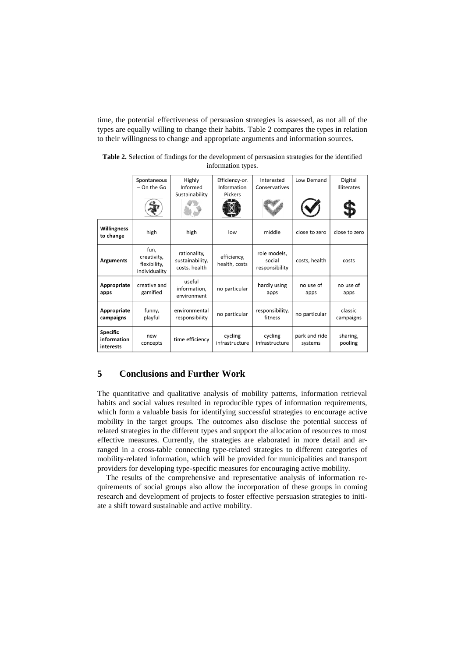time, the potential effectiveness of persuasion strategies is assessed, as not all of the types are equally willing to change their habits. Table 2 compares the types in relation to their willingness to change and appropriate arguments and information sources.

|                                             | Spontaneous<br>$-$ On the Go                         | Highly<br>Informed                               | Efficiency-or.<br>Information | Interested<br>Conservatives              | Low Demand               | Digital<br><b>Illiterates</b> |
|---------------------------------------------|------------------------------------------------------|--------------------------------------------------|-------------------------------|------------------------------------------|--------------------------|-------------------------------|
|                                             |                                                      | Sustainability                                   | Pickers                       |                                          |                          |                               |
| <b>Willingness</b><br>to change             | high                                                 | high                                             | low                           | middle                                   | close to zero            | close to zero                 |
| <b>Arguments</b>                            | fun,<br>creativity,<br>flexibility,<br>individuality | rationality,<br>sustainability,<br>costs, health | efficiency,<br>health, costs  | role models,<br>social<br>responsibility | costs, health            | costs                         |
| Appropriate<br>apps                         | creative and<br>gamified                             | useful<br>information,<br>environment            | no particular                 | hardly using<br>apps                     | no use of<br>apps        | no use of<br>apps             |
| Appropriate<br>campaigns                    | funny,<br>playful                                    | environmental<br>responsibility                  | no particular                 | responsibility,<br>fitness               | no particular            | classic<br>campaigns          |
| <b>Specific</b><br>information<br>interests | new<br>concepts                                      | time efficiency                                  | cycling<br>infrastructure     | cycling<br>infrastructure                | park and ride<br>systems | sharing,<br>pooling           |

**Table 2.** Selection of findings for the development of persuasion strategies for the identified information types.

# **5 Conclusions and Further Work**

The quantitative and qualitative analysis of mobility patterns, information retrieval habits and social values resulted in reproducible types of information requirements, which form a valuable basis for identifying successful strategies to encourage active mobility in the target groups. The outcomes also disclose the potential success of related strategies in the different types and support the allocation of resources to most effective measures. Currently, the strategies are elaborated in more detail and arranged in a cross-table connecting type-related strategies to different categories of mobility-related information, which will be provided for municipalities and transport providers for developing type-specific measures for encouraging active mobility.

The results of the comprehensive and representative analysis of information requirements of social groups also allow the incorporation of these groups in coming research and development of projects to foster effective persuasion strategies to initiate a shift toward sustainable and active mobility.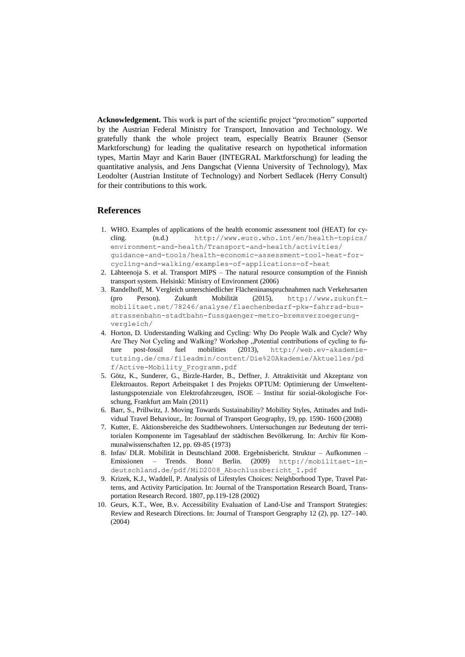**Acknowledgement.** This work is part of the scientific project "pro:motion" supported by the Austrian Federal Ministry for Transport, Innovation and Technology. We gratefully thank the whole project team, especially Beatrix Brauner (Sensor Marktforschung) for leading the qualitative research on hypothetical information types, Martin Mayr and Karin Bauer (INTEGRAL Marktforschung) for leading the quantitative analysis, and Jens Dangschat (Vienna University of Technology), Max Leodolter (Austrian Institute of Technology) and Norbert Sedlacek (Herry Consult) for their contributions to this work.

## **References**

- 1. WHO. Examples of applications of the health economic assessment tool (HEAT) for cycling. (n.d.) <http://www.euro.who.int/en/health-topics/> environment-and-health/Transport-and-health/activities/ guidance-and-tools/health-economic-assessment-tool-heat-forcycling-and-walking/examples-of-applications-of-heat
- 2. Lähteenoja S. et al. Transport MIPS The natural resource consumption of the Finnish transport system. Helsinki: Ministry of Environment (2006)
- 3. Randelhoff, M. Vergleich unterschiedlicher Flächeninanspruchnahmen nach Verkehrsarten (pro Person). Zukunft Mobilität (2015), http://www.zukunftmobilitaet.net/78246/analyse/flaechenbedarf-pkw-fahrrad-busstrassenbahn-stadtbahn-fussgaenger-metro-bremsverzoegerungvergleich/
- 4. Horton, D. Understanding Walking and Cycling: Why Do People Walk and Cycle? Why Are They Not Cycling and Walking? Workshop "Potential contributions of cycling to future post-fossil fuel mobilities (2013), http://web.ev-akademietutzing.de/cms/fileadmin/content/Die%20Akademie/Aktuelles/pd f/Active-Mobility\_Programm.pdf
- 5. Götz, K., Sunderer, G., Birzle-Harder, B., Deffner, J. Attraktivität und Akzeptanz von Elektroautos. Report Arbeitspaket 1 des Projekts OPTUM: Optimierung der Umweltentlastungspotenziale von Elektrofahrzeugen, ISOE – Institut für sozial-ökologische Forschung, Frankfurt am Main (2011)
- 6. Barr, S., Prillwitz, J. Moving Towards Sustainability? Mobility Styles, Attitudes and Individual Travel Behaviour,. In: Journal of Transport Geography, 19, pp. 1590- 1600 (2008)
- 7. Kutter, E. Aktionsbereiche des Stadtbewohners. Untersuchungen zur Bedeutung der territorialen Komponente im Tagesablauf der städtischen Bevölkerung. In: Archiv für Kommunalwissenschaften 12, pp. 69-85 (1973)
- 8. Infas/ DLR. Mobilität in Deutschland 2008. Ergebnisbericht. Struktur Aufkommen Emissionen – Trends. Bonn/ Berlin. (2009) http://mobilitaet-indeutschland.de/pdf/MiD2008\_Abschlussbericht\_I.pdf
- 9. Krizek, K.J., Waddell, P. Analysis of Lifestyles Choices: Neighborhood Type, Travel Patterns, and Activity Participation. In: Journal of the Transportation Research Board, Transportation Research Record. 1807, pp.119-128 (2002)
- 10. Geurs, K.T., Wee, B.v. Accessibility Evaluation of Land-Use and Transport Strategies: Review and Research Directions. In: Journal of Transport Geography 12 (2), pp. 127–140. (2004)